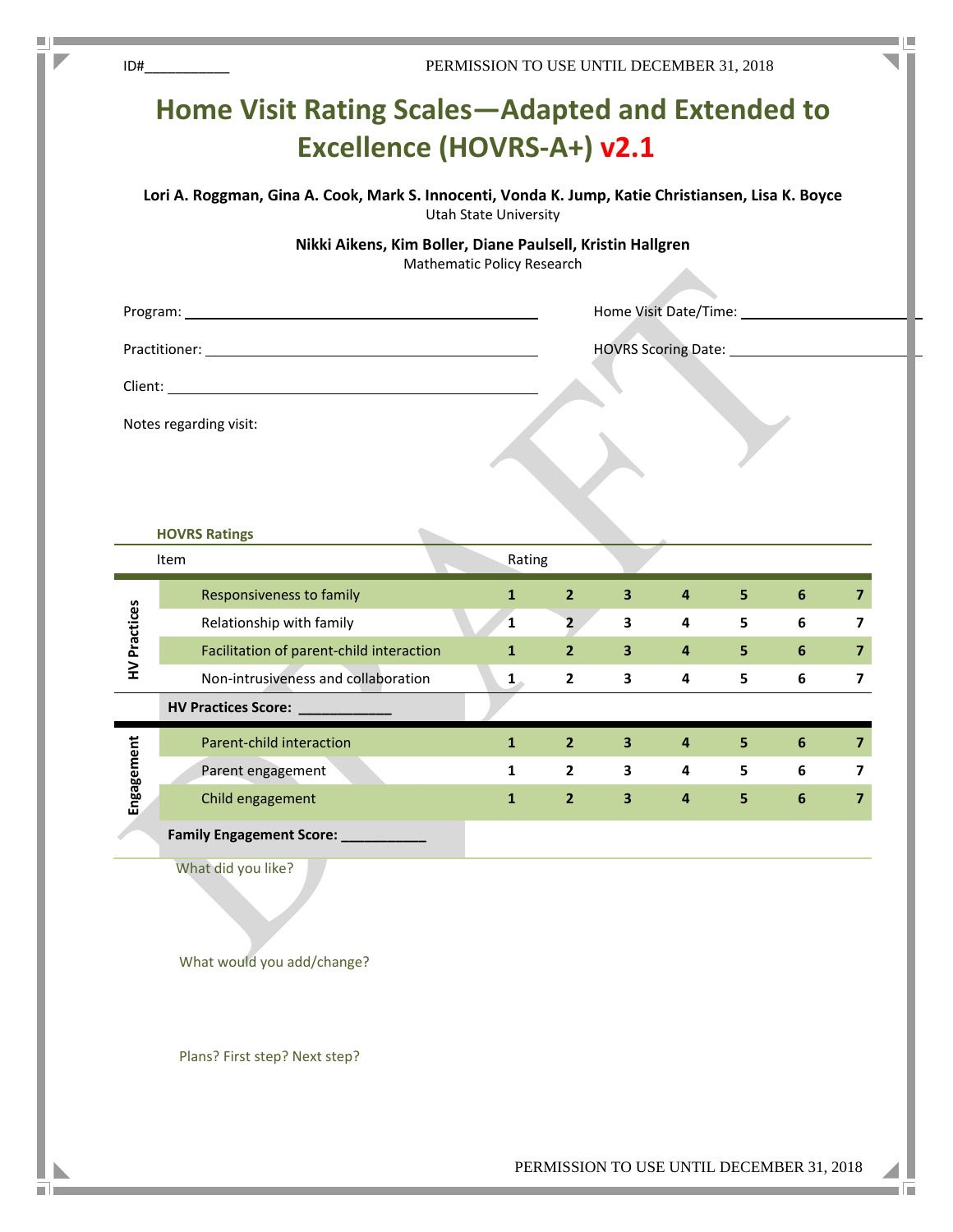| Notes regarding visit:<br>Item<br>HV Practices | <b>Home Visit Rating Scales—Adapted and Extended to</b><br><b>Excellence (HOVRS-A+) v2.1</b><br>Lori A. Roggman, Gina A. Cook, Mark S. Innocenti, Vonda K. Jump, Katie Christiansen, Lisa K. Boyce<br>Nikki Aikens, Kim Boller, Diane Paulsell, Kristin Hallgren<br><b>HOVRS Ratings</b> | <b>Utah State University</b><br><b>Mathematic Policy Research</b> |                |                         |                |                | Home Visit Date/Time: 1997 |                         |
|------------------------------------------------|------------------------------------------------------------------------------------------------------------------------------------------------------------------------------------------------------------------------------------------------------------------------------------------|-------------------------------------------------------------------|----------------|-------------------------|----------------|----------------|----------------------------|-------------------------|
|                                                |                                                                                                                                                                                                                                                                                          |                                                                   |                |                         |                |                |                            |                         |
|                                                |                                                                                                                                                                                                                                                                                          |                                                                   |                |                         |                |                |                            |                         |
|                                                |                                                                                                                                                                                                                                                                                          |                                                                   |                |                         |                |                |                            |                         |
|                                                |                                                                                                                                                                                                                                                                                          |                                                                   |                |                         |                |                |                            |                         |
|                                                |                                                                                                                                                                                                                                                                                          |                                                                   |                |                         |                |                |                            |                         |
|                                                |                                                                                                                                                                                                                                                                                          |                                                                   |                |                         |                |                |                            |                         |
|                                                |                                                                                                                                                                                                                                                                                          |                                                                   |                |                         |                |                |                            |                         |
|                                                |                                                                                                                                                                                                                                                                                          |                                                                   |                |                         |                |                |                            |                         |
|                                                |                                                                                                                                                                                                                                                                                          |                                                                   |                |                         |                |                |                            |                         |
|                                                |                                                                                                                                                                                                                                                                                          |                                                                   |                |                         |                |                |                            |                         |
|                                                |                                                                                                                                                                                                                                                                                          | Rating                                                            |                |                         |                |                |                            |                         |
|                                                | Responsiveness to family                                                                                                                                                                                                                                                                 | $\mathbf{1}$                                                      | $\overline{2}$ | 3                       | 4              | 5              | 6                          | $\overline{\mathbf{z}}$ |
|                                                | Relationship with family                                                                                                                                                                                                                                                                 | $\mathbf{1}$                                                      | 2 <sup>2</sup> | 3                       | $\overline{4}$ | $5^{\circ}$    | 6                          | 7                       |
|                                                | Facilitation of parent-child interaction                                                                                                                                                                                                                                                 | $\mathbf{1}$                                                      | 2 <sup>2</sup> | $\mathbf{3}$            | $\overline{4}$ | 5 <sub>1</sub> | 6                          | $\overline{\mathbf{z}}$ |
|                                                | Non-intrusiveness and collaboration                                                                                                                                                                                                                                                      | $1_{-}$                                                           | $\mathbf{2}$   | 3                       | 4              | 5              | 6                          | $\overline{ }$          |
|                                                | <b>HV Practices Score: HV Practices Score:</b>                                                                                                                                                                                                                                           |                                                                   |                |                         |                |                |                            |                         |
|                                                | Parent-child interaction                                                                                                                                                                                                                                                                 | $\mathbf{1}$                                                      | $\mathbf{2}$   | 3                       | 4              | 5              | 6                          | 7                       |
| Engagement                                     | Parent engagement                                                                                                                                                                                                                                                                        | $\mathbf{1}$                                                      | $\mathbf{2}$   | 3                       | 4              | 5              | 6                          | 7                       |
|                                                | Child engagement                                                                                                                                                                                                                                                                         | $\mathbf{1}$                                                      | $\overline{2}$ | $\overline{\mathbf{3}}$ | $\pmb{4}$      | 5              | 6                          | $\overline{\mathbf{z}}$ |
|                                                | Family Engagement Score:                                                                                                                                                                                                                                                                 |                                                                   |                |                         |                |                |                            |                         |
| What did you like?                             |                                                                                                                                                                                                                                                                                          |                                                                   |                |                         |                |                |                            |                         |

What would you add/change?

 $\blacksquare$ 

o b

I.

Plans? First step? Next step?

п an T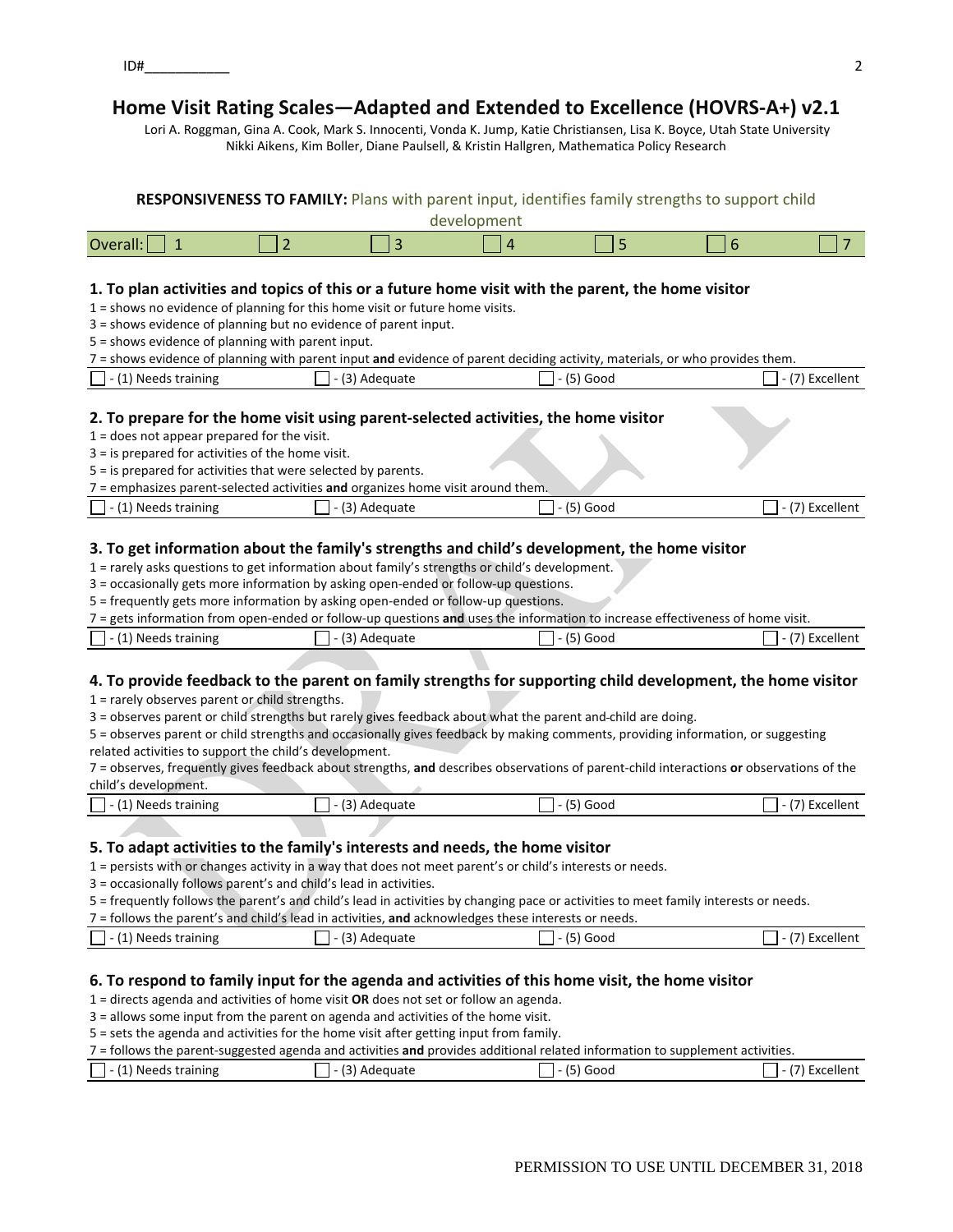$ID#$ 

# **Home Visit Rating Scales—Adapted and Extended to Excellence (HOVRS‐A+) v2.1**

Lori A. Roggman, Gina A. Cook, Mark S. Innocenti, Vonda K. Jump, Katie Christiansen, Lisa K. Boyce, Utah State University Nikki Aikens, Kim Boller, Diane Paulsell, & Kristin Hallgren, Mathematica Policy Research

|                                                                                                                                                                                                                                                                                                                                                                                                                                                                                                                                                                                                                                                      |                |                |             |              | <b>RESPONSIVENESS TO FAMILY:</b> Plans with parent input, identifies family strengths to support child                                                                                                                                                                                                                                                                                                                                                                                                                     |                 |
|------------------------------------------------------------------------------------------------------------------------------------------------------------------------------------------------------------------------------------------------------------------------------------------------------------------------------------------------------------------------------------------------------------------------------------------------------------------------------------------------------------------------------------------------------------------------------------------------------------------------------------------------------|----------------|----------------|-------------|--------------|----------------------------------------------------------------------------------------------------------------------------------------------------------------------------------------------------------------------------------------------------------------------------------------------------------------------------------------------------------------------------------------------------------------------------------------------------------------------------------------------------------------------------|-----------------|
|                                                                                                                                                                                                                                                                                                                                                                                                                                                                                                                                                                                                                                                      |                |                | development |              |                                                                                                                                                                                                                                                                                                                                                                                                                                                                                                                            |                 |
| Overall:<br>$\mathbf 1$                                                                                                                                                                                                                                                                                                                                                                                                                                                                                                                                                                                                                              | $\overline{2}$ | 3              | 4           | 5            | 6                                                                                                                                                                                                                                                                                                                                                                                                                                                                                                                          | $\overline{7}$  |
| 1. To plan activities and topics of this or a future home visit with the parent, the home visitor<br>1 = shows no evidence of planning for this home visit or future home visits.<br>3 = shows evidence of planning but no evidence of parent input.<br>5 = shows evidence of planning with parent input.<br>(1) Needs training<br>2. To prepare for the home visit using parent-selected activities, the home visitor                                                                                                                                                                                                                               |                | - (3) Adequate |             | - (5) Good   | 7 = shows evidence of planning with parent input and evidence of parent deciding activity, materials, or who provides them.                                                                                                                                                                                                                                                                                                                                                                                                | - (7) Excellent |
| $1 =$ does not appear prepared for the visit.                                                                                                                                                                                                                                                                                                                                                                                                                                                                                                                                                                                                        |                |                |             |              |                                                                                                                                                                                                                                                                                                                                                                                                                                                                                                                            |                 |
| $3 =$ is prepared for activities of the home visit.                                                                                                                                                                                                                                                                                                                                                                                                                                                                                                                                                                                                  |                |                |             |              |                                                                                                                                                                                                                                                                                                                                                                                                                                                                                                                            |                 |
| 5 = is prepared for activities that were selected by parents.                                                                                                                                                                                                                                                                                                                                                                                                                                                                                                                                                                                        |                |                |             |              |                                                                                                                                                                                                                                                                                                                                                                                                                                                                                                                            |                 |
| 7 = emphasizes parent-selected activities and organizes home visit around them.                                                                                                                                                                                                                                                                                                                                                                                                                                                                                                                                                                      |                |                |             |              |                                                                                                                                                                                                                                                                                                                                                                                                                                                                                                                            |                 |
| - (1) Needs training                                                                                                                                                                                                                                                                                                                                                                                                                                                                                                                                                                                                                                 |                | - (3) Adequate |             | - (5) Good   |                                                                                                                                                                                                                                                                                                                                                                                                                                                                                                                            | - (7) Excellent |
| 3. To get information about the family's strengths and child's development, the home visitor<br>1 = rarely asks questions to get information about family's strengths or child's development.<br>3 = occasionally gets more information by asking open-ended or follow-up questions.<br>5 = frequently gets more information by asking open-ended or follow-up questions.<br>(1) Needs training<br>$1$ = rarely observes parent or child strengths.<br>3 = observes parent or child strengths but rarely gives feedback about what the parent and-child are doing.<br>related activities to support the child's development.<br>child's development. |                | - (3) Adequate |             | - (5) Good   | 7 = gets information from open-ended or follow-up questions and uses the information to increase effectiveness of home visit.<br>4. To provide feedback to the parent on family strengths for supporting child development, the home visitor<br>5 = observes parent or child strengths and occasionally gives feedback by making comments, providing information, or suggesting<br>7 = observes, frequently gives feedback about strengths, and describes observations of parent-child interactions or observations of the | - (7) Excellent |
| (1) Needs training                                                                                                                                                                                                                                                                                                                                                                                                                                                                                                                                                                                                                                   |                | - (3) Adequate |             | - (5) Good   |                                                                                                                                                                                                                                                                                                                                                                                                                                                                                                                            | - (7) Excellent |
| 5. To adapt activities to the family's interests and needs, the home visitor<br>1 = persists with or changes activity in a way that does not meet parent's or child's interests or needs.<br>3 = occasionally follows parent's and child's lead in activities.<br>7 = follows the parent's and child's lead in activities, and acknowledges these interests or needs.                                                                                                                                                                                                                                                                                |                |                |             |              | 5 = frequently follows the parent's and child's lead in activities by changing pace or activities to meet family interests or needs.                                                                                                                                                                                                                                                                                                                                                                                       |                 |
| (1) Needs training                                                                                                                                                                                                                                                                                                                                                                                                                                                                                                                                                                                                                                   |                | - (3) Adequate |             | $-$ (5) Good |                                                                                                                                                                                                                                                                                                                                                                                                                                                                                                                            | - (7) Excellent |
| 6. To respond to family input for the agenda and activities of this home visit, the home visitor<br>$1$ = directs agenda and activities of home visit OR does not set or follow an agenda.<br>3 = allows some input from the parent on agenda and activities of the home visit.                                                                                                                                                                                                                                                                                                                                                                      |                |                |             |              |                                                                                                                                                                                                                                                                                                                                                                                                                                                                                                                            |                 |

### 5 = sets the agenda and activities for the home visit after getting input from family.

7 = follows the parent‐suggested agenda and activities **and** provides additional related information to supplement activities.

| - (1) Needs training | Adequate | 000د | _xcellent |
|----------------------|----------|------|-----------|
|                      |          |      |           |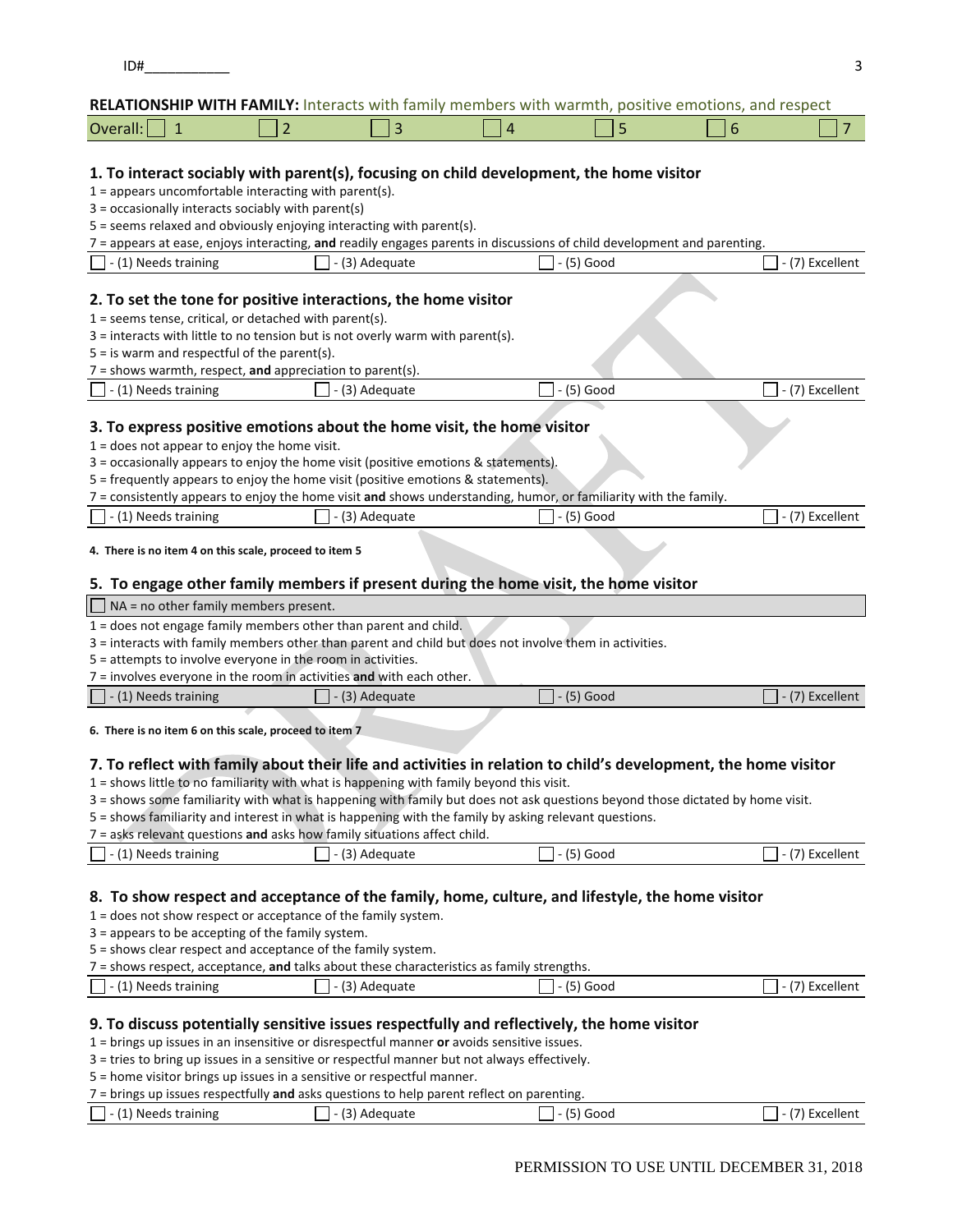### **RELATIONSHIP WITH FAMILY:** Interacts with family members with warmth, positive emotions, and respect

| Ove |  |  |  |
|-----|--|--|--|
|     |  |  |  |

## **1. To interact sociably with parent(s), focusing on child development, the home visitor**

 $1 =$  appears uncomfortable interacting with parent(s).

- 3 = occasionally interacts sociably with parent(s)
- 5 = seems relaxed and obviously enjoying interacting with parent(s).
- 7 = appears at ease, enjoys interacting, **and** readily engages parents in discussions of child development and parenting.

| - (1) Needs training                                                                 | - (3) Adequate                                                                                         | - (5) Good                                                                                                       | - (7) Excellent |  |  |  |  |
|--------------------------------------------------------------------------------------|--------------------------------------------------------------------------------------------------------|------------------------------------------------------------------------------------------------------------------|-----------------|--|--|--|--|
|                                                                                      | 2. To set the tone for positive interactions, the home visitor                                         |                                                                                                                  |                 |  |  |  |  |
| $1 =$ seems tense, critical, or detached with parent(s).                             |                                                                                                        |                                                                                                                  |                 |  |  |  |  |
|                                                                                      | $3$ = interacts with little to no tension but is not overly warm with parent(s).                       |                                                                                                                  |                 |  |  |  |  |
| $5 =$ is warm and respectful of the parent(s).                                       |                                                                                                        |                                                                                                                  |                 |  |  |  |  |
| $7 =$ shows warmth, respect, and appreciation to parent(s).                          |                                                                                                        |                                                                                                                  |                 |  |  |  |  |
| $\vert$ - (1) Needs training                                                         | - (3) Adequate                                                                                         | - (5) Good                                                                                                       | - (7) Excellent |  |  |  |  |
|                                                                                      |                                                                                                        |                                                                                                                  |                 |  |  |  |  |
|                                                                                      | 3. To express positive emotions about the home visit, the home visitor                                 |                                                                                                                  |                 |  |  |  |  |
| $1 =$ does not appear to enjoy the home visit.                                       |                                                                                                        |                                                                                                                  |                 |  |  |  |  |
| 3 = occasionally appears to enjoy the home visit (positive emotions & statements).   |                                                                                                        |                                                                                                                  |                 |  |  |  |  |
| 5 = frequently appears to enjoy the home visit (positive emotions & statements).     |                                                                                                        |                                                                                                                  |                 |  |  |  |  |
|                                                                                      |                                                                                                        | 7 = consistently appears to enjoy the home visit and shows understanding, humor, or familiarity with the family. |                 |  |  |  |  |
| $\vert$ - (1) Needs training                                                         | - (3) Adequate                                                                                         | - (5) Good                                                                                                       | - (7) Excellent |  |  |  |  |
| 4. There is no item 4 on this scale, proceed to item 5                               |                                                                                                        |                                                                                                                  |                 |  |  |  |  |
| 5. To engage other family members if present during the home visit, the home visitor |                                                                                                        |                                                                                                                  |                 |  |  |  |  |
| $\Box$ NA = no other family members present.                                         |                                                                                                        |                                                                                                                  |                 |  |  |  |  |
|                                                                                      | 1 = does not engage family members other than parent and child.                                        |                                                                                                                  |                 |  |  |  |  |
|                                                                                      | 3 = interacts with family members other than parent and child but does not involve them in activities. |                                                                                                                  |                 |  |  |  |  |
| 5 = attempts to involve everyone in the room in activities.                          |                                                                                                        |                                                                                                                  |                 |  |  |  |  |
|                                                                                      | 7 = involves everyone in the room in activities and with each other.                                   |                                                                                                                  |                 |  |  |  |  |
|                                                                                      |                                                                                                        |                                                                                                                  |                 |  |  |  |  |

 $\Box$  - (1) Needs training  $\Box$  - (3) Adequate  $\Box$  - (5) Good  $\Box$  - (7) Excellent

**6. There is no item 6 on this scale, proceed to item 7**

### 7. To reflect with family about their life and activities in relation to child's development, the home visitor

1 = shows little to no familiarity with what is happening with family beyond this visit.

3 = shows some familiarity with what is happening with family but does not ask questions beyond those dictated by home visit.

5 = shows familiarity and interest in what is happening with the family by asking relevant questions.

7 = asks relevant questions **and** asks how family situations affect child.

| - (1) Needs training | Adequate<br>$-$ | 15) Goou | Excellent<br>. . |
|----------------------|-----------------|----------|------------------|
|                      |                 |          |                  |

### **8. To show respect and acceptance of the family, home, culture, and lifestyle, the home visitor**

1 = does not show respect or acceptance of the family system.

3 = appears to be accepting of the family system.

5 = shows clear respect and acceptance of the family system.

7 = shows respect, acceptance, **and** talks about these characteristics as family strengths.

|  | (4)<br>Needs training<br>$-1$<br>. | $\sim$<br>Adequate | 7 ⊏<br>Good<br>، ت | $\mathbf{u}$<br>Excellent |
|--|------------------------------------|--------------------|--------------------|---------------------------|
|--|------------------------------------|--------------------|--------------------|---------------------------|

#### **9. To discuss potentially sensitive issues respectfully and reflectively, the home visitor**

1 = brings up issues in an insensitive or disrespectful manner **or** avoids sensitive issues.

3 = tries to bring up issues in a sensitive or respectful manner but not always effectively.

5 = home visitor brings up issues in a sensitive or respectful manner.

|--|

| 11'<br>Needs training<br>. . | $\sim$<br>`dequate<br>Aut<br>$\overline{\phantom{a}}$ | GOOQ<br>ັ | Excellent |
|------------------------------|-------------------------------------------------------|-----------|-----------|
|                              |                                                       |           |           |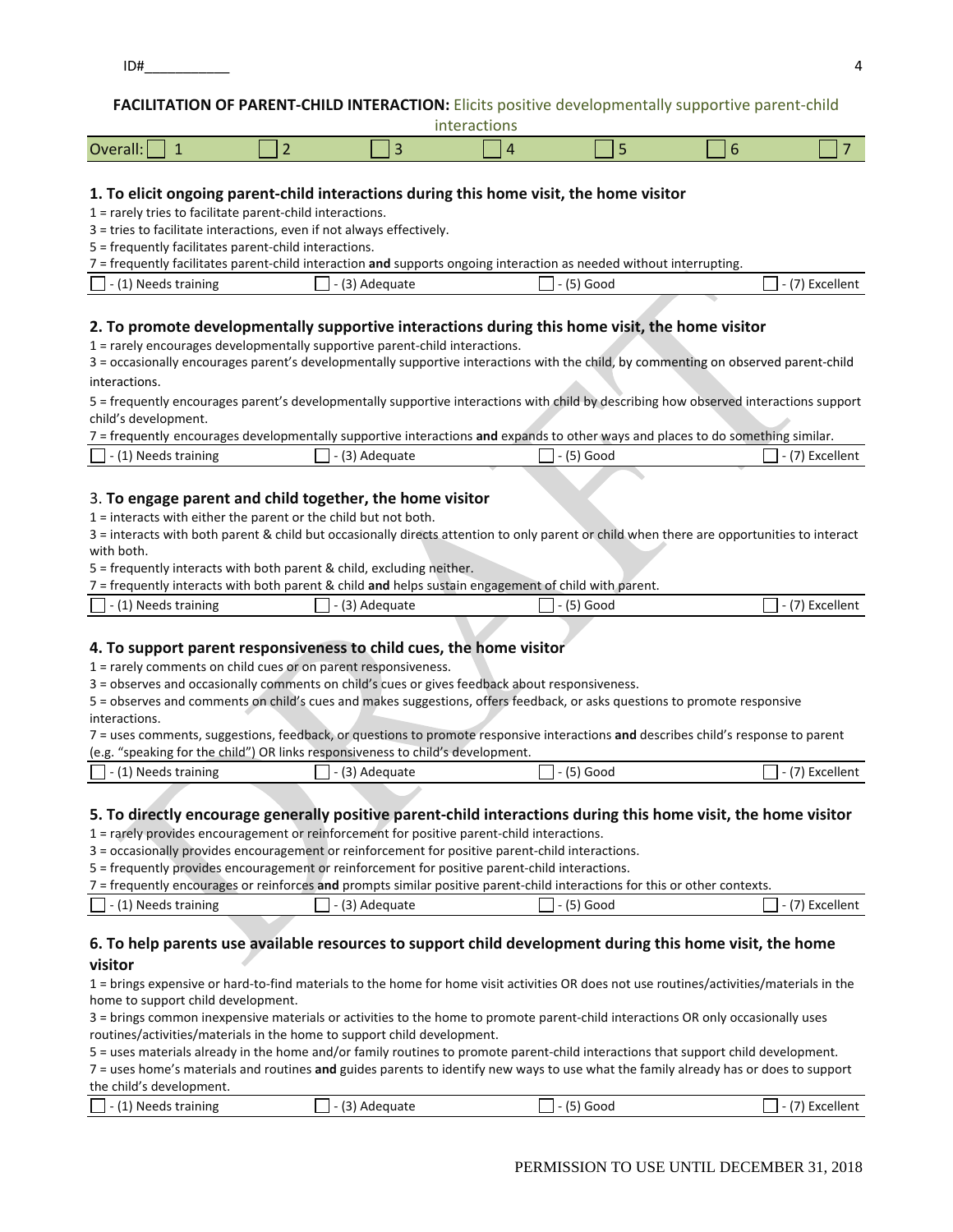## **FACILITATION OF PARENT‐CHILD INTERACTION:** Elicits positive developmentally supportive parent‐child

|  | interactions |  |
|--|--------------|--|
|  |              |  |

|  | Over<br>'Udil. |  |  |  |  |  |  |
|--|----------------|--|--|--|--|--|--|
|--|----------------|--|--|--|--|--|--|

### **1. To elicit ongoing parent‐child interactions during this home visit, the home visitor**

1 = rarely tries to facilitate parent‐child interactions.

3 = tries to facilitate interactions, even if not always effectively.

5 = frequently facilitates parent‐child interactions.

7 = frequently facilitates parent‐child interaction **and** supports ongoing interaction as needed without interrupting.

| $\sqrt{4}$<br>Needs training<br>L. | כי<br>Adequate<br>ັ | Good | Excellent |
|------------------------------------|---------------------|------|-----------|
|                                    |                     |      |           |

## **2. To promote developmentally supportive interactions during this home visit, the home visitor**

1 = rarely encourages developmentally supportive parent‐child interactions.

3 = occasionally encourages parent's developmentally supportive interactions with the child, by commenting on observed parent‐child interactions.

5 = frequently encourages parent's developmentally supportive interactions with child by describing how observed interactions support child's development.

|                             | 7 = frequently encourages developmentally supportive interactions and expands to other ways and places to do something similar. |                   |                        |
|-----------------------------|---------------------------------------------------------------------------------------------------------------------------------|-------------------|------------------------|
| $\Box$ - (1) Needs training | $\Box$ - (3) Adequate                                                                                                           | $\Box$ - (5) Good | $\Box$ - (7) Excellent |

## 3. **To engage parent and child together, the home visitor**

1 = interacts with either the parent or the child but not both.

3 = interacts with both parent & child but occasionally directs attention to only parent or child when there are opportunities to interact with both.

5 = frequently interacts with both parent & child, excluding neither.

| $7$ = frequently interacts with both parent & child and helps sustain engagement of child with parent. |                       |                   |                                 |  |
|--------------------------------------------------------------------------------------------------------|-----------------------|-------------------|---------------------------------|--|
| $\Box$ - (1) Needs training                                                                            | $\Box$ - (3) Adequate | $\Box$ - (5) Good | $\vert$ $\vert$ - (7) Excellent |  |

## **4. To support parent responsiveness to child cues, the home visitor**

1 = rarely comments on child cues or on parent responsiveness.

3 = observes and occasionally comments on child's cues or gives feedback about responsiveness.

5 = observes and comments on child's cues and makes suggestions, offers feedback, or asks questions to promote responsive interactions.

7 = uses comments, suggestions, feedback, or questions to promote responsive interactions **and** describes child's response to parent (e.g. "speaking for the child") OR links responsiveness to child's development.

| $\sqrt{4}$<br>Needs training | $\sim$<br>Adequate<br>- - | Goog | Excellent |
|------------------------------|---------------------------|------|-----------|
|                              |                           |      |           |

## 5. To directly encourage generally positive parent-child interactions during this home visit, the home visitor

1 = rarely provides encouragement or reinforcement for positive parent‐child interactions.

3 = occasionally provides encouragement or reinforcement for positive parent‐child interactions.

5 = frequently provides encouragement or reinforcement for positive parent‐child interactions.

7 = frequently encourages or reinforces **and** prompts similar positive parent‐child interactions for this or other contexts.

| (1)                      | ו כי     | /٣     | <b>Excellent</b> |
|--------------------------|----------|--------|------------------|
| 1) Needs training        | Adequate | ' Good |                  |
| $\overline{\phantom{a}}$ | - 1      | (כ     |                  |
| ι⊥                       | ادا      | .      |                  |
|                          |          |        |                  |

## **6. To help parents use available resources to support child development during this home visit, the home visitor**

1 = brings expensive or hard‐to‐find materials to the home for home visit activities OR does not use routines/activities/materials in the home to support child development.

3 = brings common inexpensive materials or activities to the home to promote parent‐child interactions OR only occasionally uses routines/activities/materials in the home to support child development.

5 = uses materials already in the home and/or family routines to promote parent‐child interactions that support child development.

7 = uses home's materials and routines **and** guides parents to identify new ways to use what the family already has or does to support the child's development.

| $\sqrt{4}$<br>Adequate<br>Needs<br>training | . .<br>Good<br>. | Excellent |
|---------------------------------------------|------------------|-----------|
|---------------------------------------------|------------------|-----------|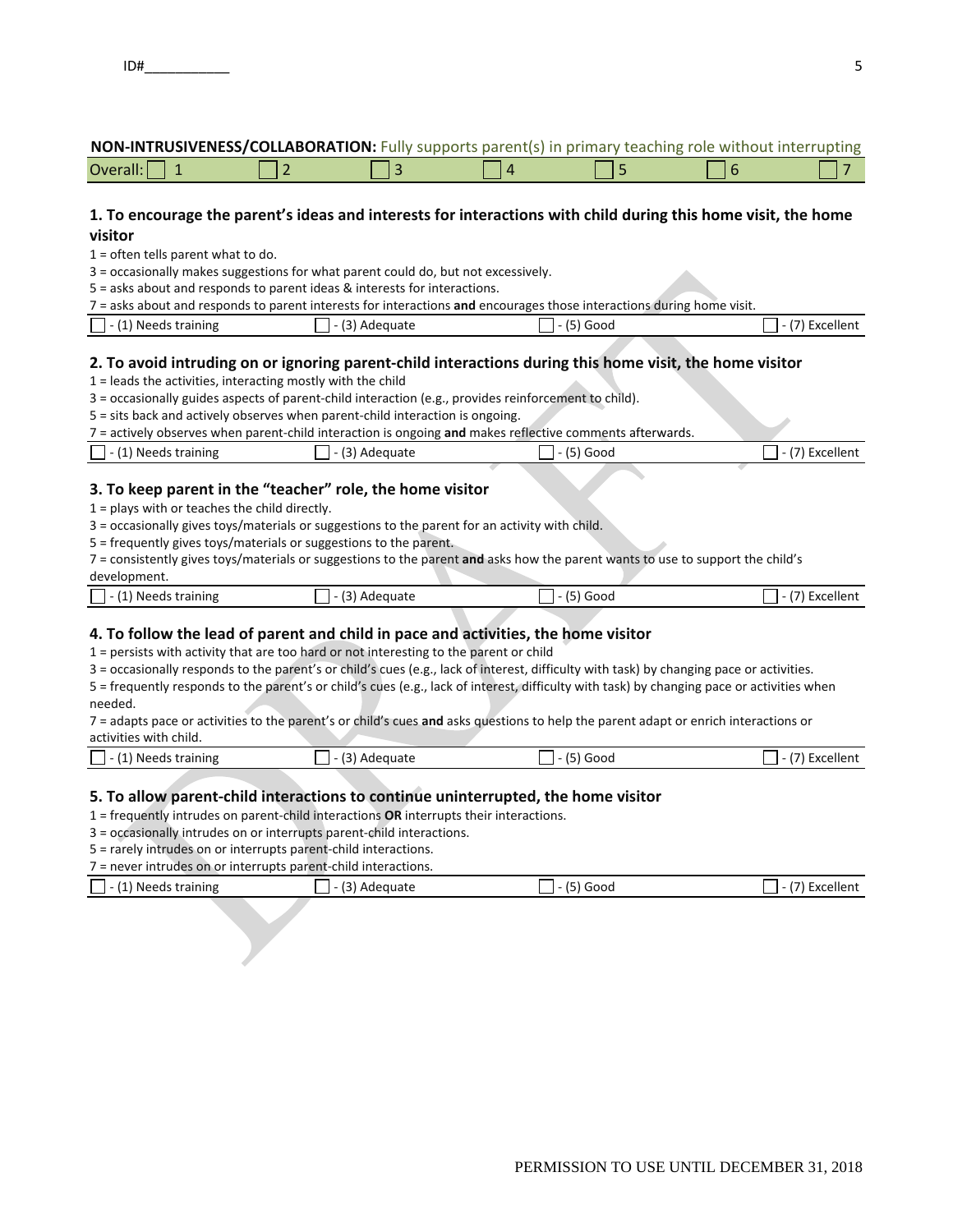| NON-INTRUSIVENESS/COLLABORATION: Fully supports parent(s) in primary teaching role without interrupting |  |  |  |
|---------------------------------------------------------------------------------------------------------|--|--|--|
|---------------------------------------------------------------------------------------------------------|--|--|--|

|--|

## 1. To encourage the parent's ideas and interests for interactions with child during this home visit, the home **visitor**

1 = often tells parent what to do.

3 = occasionally makes suggestions for what parent could do, but not excessively.

5 = asks about and responds to parent ideas & interests for interactions.

| 7 = asks about and responds to parent interests for interactions and encourages those interactions during home visit. |  |
|-----------------------------------------------------------------------------------------------------------------------|--|
|-----------------------------------------------------------------------------------------------------------------------|--|

 $\Box$  - (1) Needs training  $\Box$  - (3) Adequate  $\Box$  - (5) Good  $\Box$  - (7) Excellent

## 2. To avoid intruding on or ignoring parent-child interactions during this home visit, the home visitor

- 1 = leads the activities, interacting mostly with the child
- 3 = occasionally guides aspects of parent‐child interaction (e.g., provides reinforcement to child).
- 5 = sits back and actively observes when parent‐child interaction is ongoing.

|                             |                       | 7 = actively observes when parent-child interaction is ongoing and makes reflective comments afterwards. |                        |
|-----------------------------|-----------------------|----------------------------------------------------------------------------------------------------------|------------------------|
| $\Box$ - (1) Needs training | $\Box$ - (3) Adequate | $\Box$ - (5) Good                                                                                        | $\Box$ - (7) Excellent |

## **3. To keep parent in the "teacher" role, the home visitor**

- 1 = plays with or teaches the child directly.
- 3 = occasionally gives toys/materials or suggestions to the parent for an activity with child.
- 5 = frequently gives toys/materials or suggestions to the parent.

7 = consistently gives toys/materials or suggestions to the parent **and** asks how the parent wants to use to support the child's

### development.

| 1 - (1) Needs training | $\sim$<br>Adequate | GOOL |  |
|------------------------|--------------------|------|--|
|                        |                    |      |  |

## **4. To follow the lead of parent and child in pace and activities, the home visitor**

1 = persists with activity that are too hard or not interesting to the parent or child

3 = occasionally responds to the parent's or child's cues (e.g., lack of interest, difficulty with task) by changing pace or activities.

5 = frequently responds to the parent's or child's cues (e.g., lack of interest, difficulty with task) by changing pace or activities when needed.

7 = adapts pace or activities to the parent's or child's cues **and** asks questions to help the parent adapt or enrich interactions or activities with child.

| activities with crimal                      |                                             |      |          |
|---------------------------------------------|---------------------------------------------|------|----------|
| 1 А<br><b>Needs</b><br>, training<br>$\sim$ | $\overline{\phantom{a}}$<br>`dequate<br>AUt | GOOC | Excellem |

## **5. To allow parent‐child interactions to continue uninterrupted, the home visitor**

1 = frequently intrudes on parent‐child interactions **OR** interrupts their interactions.

3 = occasionally intrudes on or interrupts parent‐child interactions.

5 = rarely intrudes on or interrupts parent‐child interactions.

7 = never intrudes on or interrupts parent‐child interactions.

| (1) Needs training | $\sim$<br>Adequate<br>1 J I | $\epsilon$<br>`Good<br>-<br>$-1$<br><b>UJI</b> | Excellent<br>(7) |
|--------------------|-----------------------------|------------------------------------------------|------------------|
|                    |                             |                                                |                  |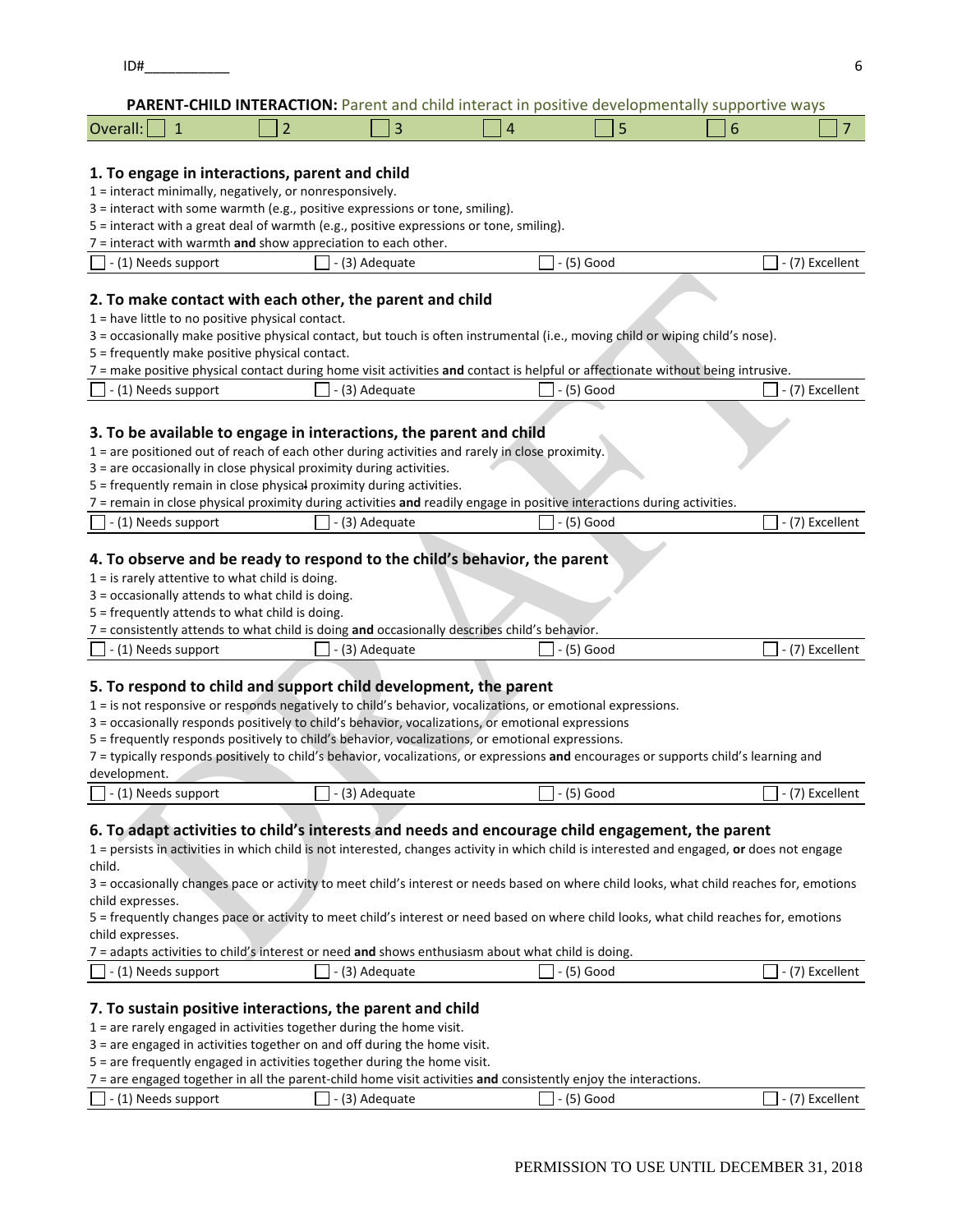|                                                                                                                                            |                                                                 |                |   |              | CHON. I archit and child interact in positive acvelopmentally supportive ways |                 |  |  |  |
|--------------------------------------------------------------------------------------------------------------------------------------------|-----------------------------------------------------------------|----------------|---|--------------|-------------------------------------------------------------------------------|-----------------|--|--|--|
| Overall:<br>$\mathbf{1}$                                                                                                                   | 2                                                               | 3              | 4 | 5            | 6                                                                             | 7               |  |  |  |
|                                                                                                                                            |                                                                 |                |   |              |                                                                               |                 |  |  |  |
| 1. To engage in interactions, parent and child                                                                                             |                                                                 |                |   |              |                                                                               |                 |  |  |  |
| 1 = interact minimally, negatively, or nonresponsively.                                                                                    |                                                                 |                |   |              |                                                                               |                 |  |  |  |
|                                                                                                                                            |                                                                 |                |   |              |                                                                               |                 |  |  |  |
| 3 = interact with some warmth (e.g., positive expressions or tone, smiling).                                                               |                                                                 |                |   |              |                                                                               |                 |  |  |  |
| 5 = interact with a great deal of warmth (e.g., positive expressions or tone, smiling).                                                    |                                                                 |                |   |              |                                                                               |                 |  |  |  |
|                                                                                                                                            | $7$ = interact with warmth and show appreciation to each other. |                |   |              |                                                                               |                 |  |  |  |
| (1) Needs support                                                                                                                          |                                                                 | (3) Adequate   |   | - (5) Good   |                                                                               | - (7) Excellent |  |  |  |
|                                                                                                                                            |                                                                 |                |   |              |                                                                               |                 |  |  |  |
| 2. To make contact with each other, the parent and child                                                                                   |                                                                 |                |   |              |                                                                               |                 |  |  |  |
| 1 = have little to no positive physical contact.                                                                                           |                                                                 |                |   |              |                                                                               |                 |  |  |  |
| 3 = occasionally make positive physical contact, but touch is often instrumental (i.e., moving child or wiping child's nose).              |                                                                 |                |   |              |                                                                               |                 |  |  |  |
| 5 = frequently make positive physical contact.                                                                                             |                                                                 |                |   |              |                                                                               |                 |  |  |  |
| 7 = make positive physical contact during home visit activities and contact is helpful or affectionate without being intrusive.            |                                                                 |                |   |              |                                                                               |                 |  |  |  |
| (1) Needs support                                                                                                                          |                                                                 | (3) Adequate   |   | $-$ (5) Good |                                                                               | - (7) Excellent |  |  |  |
|                                                                                                                                            |                                                                 |                |   |              |                                                                               |                 |  |  |  |
|                                                                                                                                            |                                                                 |                |   |              |                                                                               |                 |  |  |  |
| 3. To be available to engage in interactions, the parent and child                                                                         |                                                                 |                |   |              |                                                                               |                 |  |  |  |
| 1 = are positioned out of reach of each other during activities and rarely in close proximity.                                             |                                                                 |                |   |              |                                                                               |                 |  |  |  |
| 3 = are occasionally in close physical proximity during activities.                                                                        |                                                                 |                |   |              |                                                                               |                 |  |  |  |
| 5 = frequently remain in close physical proximity during activities.                                                                       |                                                                 |                |   |              |                                                                               |                 |  |  |  |
| 7 = remain in close physical proximity during activities and readily engage in positive interactions during activities.                    |                                                                 |                |   |              |                                                                               |                 |  |  |  |
| - (1) Needs support                                                                                                                        |                                                                 | - (3) Adequate |   | - (5) Good   |                                                                               | - (7) Excellent |  |  |  |
|                                                                                                                                            |                                                                 |                |   |              |                                                                               |                 |  |  |  |
| 4. To observe and be ready to respond to the child's behavior, the parent                                                                  |                                                                 |                |   |              |                                                                               |                 |  |  |  |
| $1 =$ is rarely attentive to what child is doing.                                                                                          |                                                                 |                |   |              |                                                                               |                 |  |  |  |
| 3 = occasionally attends to what child is doing.                                                                                           |                                                                 |                |   |              |                                                                               |                 |  |  |  |
| 5 = frequently attends to what child is doing.                                                                                             |                                                                 |                |   |              |                                                                               |                 |  |  |  |
| 7 = consistently attends to what child is doing and occasionally describes child's behavior.                                               |                                                                 |                |   |              |                                                                               |                 |  |  |  |
| (1) Needs support                                                                                                                          |                                                                 | (3) Adequate   |   | $(5)$ Good   |                                                                               | - (7) Excellent |  |  |  |
|                                                                                                                                            |                                                                 |                |   |              |                                                                               |                 |  |  |  |
|                                                                                                                                            |                                                                 |                |   |              |                                                                               |                 |  |  |  |
| 5. To respond to child and support child development, the parent                                                                           |                                                                 |                |   |              |                                                                               |                 |  |  |  |
| 1 = is not responsive or responds negatively to child's behavior, vocalizations, or emotional expressions.                                 |                                                                 |                |   |              |                                                                               |                 |  |  |  |
| 3 = occasionally responds positively to child's behavior, vocalizations, or emotional expressions                                          |                                                                 |                |   |              |                                                                               |                 |  |  |  |
| 5 = frequently responds positively to child's behavior, vocalizations, or emotional expressions.                                           |                                                                 |                |   |              |                                                                               |                 |  |  |  |
| 7 = typically responds positively to child's behavior, vocalizations, or expressions and encourages or supports child's learning and       |                                                                 |                |   |              |                                                                               |                 |  |  |  |
| development.                                                                                                                               |                                                                 |                |   |              |                                                                               |                 |  |  |  |
| - (1) Needs support                                                                                                                        |                                                                 | - (3) Adequate |   | - (5) Good   |                                                                               | - (7) Excellent |  |  |  |
|                                                                                                                                            |                                                                 |                |   |              |                                                                               |                 |  |  |  |
| 6. To adapt activities to child's interests and needs and encourage child engagement, the parent                                           |                                                                 |                |   |              |                                                                               |                 |  |  |  |
| 1 = persists in activities in which child is not interested, changes activity in which child is interested and engaged, or does not engage |                                                                 |                |   |              |                                                                               |                 |  |  |  |
| child.                                                                                                                                     |                                                                 |                |   |              |                                                                               |                 |  |  |  |
| 3 = occasionally changes pace or activity to meet child's interest or needs based on where child looks, what child reaches for, emotions   |                                                                 |                |   |              |                                                                               |                 |  |  |  |
| child expresses.                                                                                                                           |                                                                 |                |   |              |                                                                               |                 |  |  |  |
| 5 = frequently changes pace or activity to meet child's interest or need based on where child looks, what child reaches for, emotions      |                                                                 |                |   |              |                                                                               |                 |  |  |  |
| child expresses.                                                                                                                           |                                                                 |                |   |              |                                                                               |                 |  |  |  |
| 7 = adapts activities to child's interest or need and shows enthusiasm about what child is doing.                                          |                                                                 |                |   |              |                                                                               |                 |  |  |  |
| (1) Needs support                                                                                                                          |                                                                 |                |   |              |                                                                               | - (7) Excellent |  |  |  |
|                                                                                                                                            |                                                                 | - (3) Adequate |   | - (5) Good   |                                                                               |                 |  |  |  |
|                                                                                                                                            |                                                                 |                |   |              |                                                                               |                 |  |  |  |
| 7. To sustain positive interactions, the parent and child                                                                                  |                                                                 |                |   |              |                                                                               |                 |  |  |  |
| 1 = are rarely engaged in activities together during the home visit.                                                                       |                                                                 |                |   |              |                                                                               |                 |  |  |  |
| 3 = are engaged in activities together on and off during the home visit.                                                                   |                                                                 |                |   |              |                                                                               |                 |  |  |  |
| 5 = are frequently engaged in activities together during the home visit.                                                                   |                                                                 |                |   |              |                                                                               |                 |  |  |  |
| $7$ = are engaged together in all the parent-child home visit activities and consistently enjoy the interactions                           |                                                                 |                |   |              |                                                                               |                 |  |  |  |

- are engaged together in all the parent‐child home visit activities **and** consistently enjoy the interactions.

| $\vert$ - (1) Needs support | (3) Adequate | (1)<br>Good<br>$\overline{\phantom{a}}$<br>ັບ | Excellent |
|-----------------------------|--------------|-----------------------------------------------|-----------|
|                             |              |                                               |           |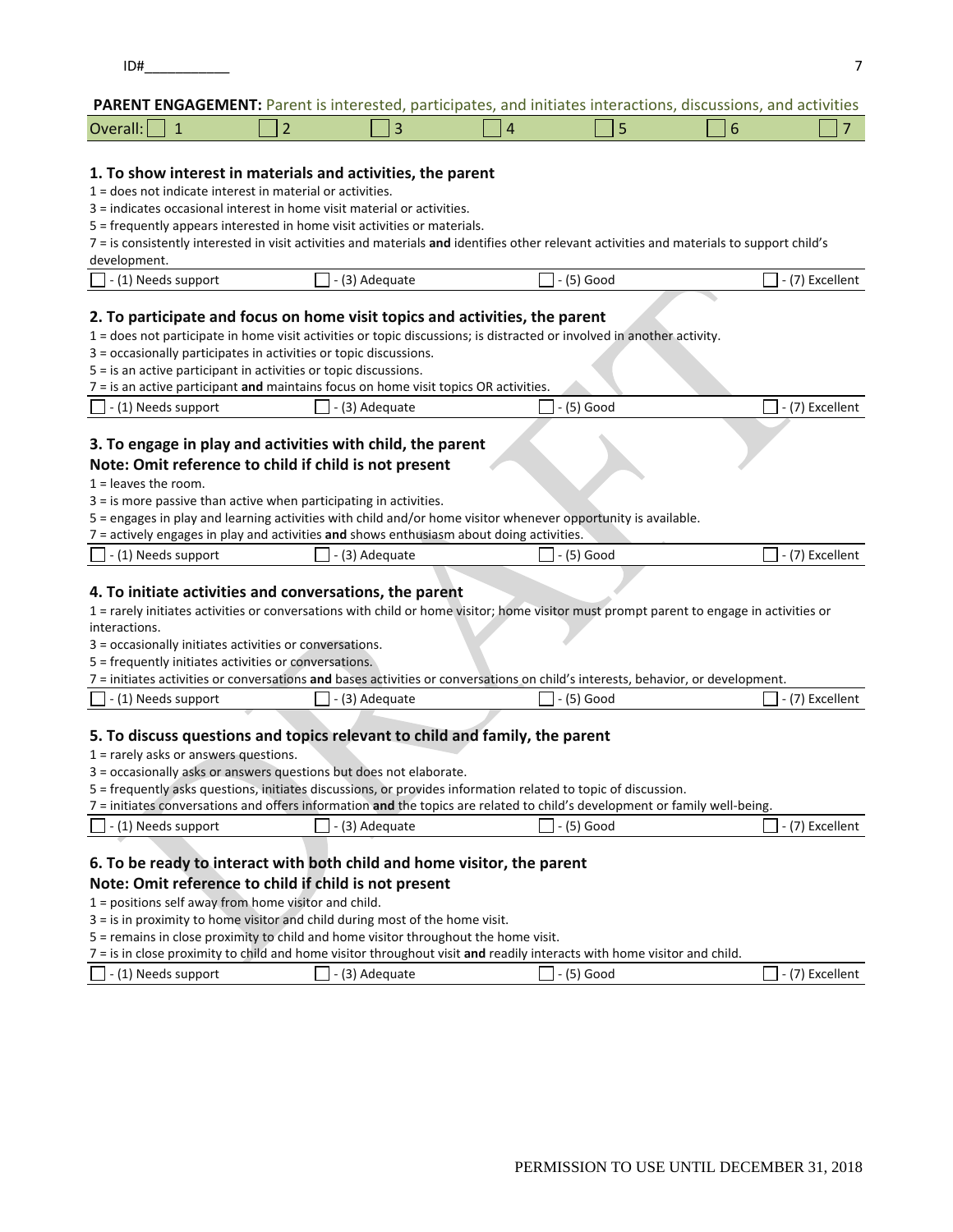### **PARENT ENGAGEMENT:** Parent is interested, participates, and initiates interactions, discussions, and activities

| $\cdots$<br>Overall:<br>-- |  |  |  |
|----------------------------|--|--|--|
|                            |  |  |  |

### **1. To show interest in materials and activities, the parent**

1 = does not indicate interest in material or activities.

3 = indicates occasional interest in home visit material or activities.

5 = frequently appears interested in home visit activities or materials.

7 = is consistently interested in visit activities and materials **and** identifies other relevant activities and materials to support child's

| development.                |                |          |                      |
|-----------------------------|----------------|----------|----------------------|
| $\vert$ - (1) Needs support | - (3) Adequate | ،5) Good | (7) Excellent<br>. . |

#### **2. To participate and focus on home visit topics and activities, the parent**

1 = does not participate in home visit activities or topic discussions; is distracted or involved in another activity.

- 3 = occasionally participates in activities or topic discussions.
- 5 = is an active participant in activities or topic discussions.

|                            | $7 =$ is an active participant and maintains focus on home visit topics OR activities. |                   |                        |
|----------------------------|----------------------------------------------------------------------------------------|-------------------|------------------------|
| $\Box$ - (1) Needs support | $\Box$ - (3) Adequate                                                                  | $\Box$ - (5) Good | $\Box$ - (7) Excellent |

### **3. To engage in play and activities with child, the parent**

## **Note: Omit reference to child if child is not present**

- 1 = leaves the room.
- 3 = is more passive than active when participating in activities.

5 = engages in play and learning activities with child and/or home visitor whenever opportunity is available.

7 = actively engages in play and activities **and** shows enthusiasm about doing activities.

| $\Box$ - (1) Needs support | - (3) Adequate | · (5) Good | (7) Excellent |
|----------------------------|----------------|------------|---------------|
|                            |                |            |               |

#### **4. To initiate activities and conversations, the parent**

1 = rarely initiates activities or conversations with child or home visitor; home visitor must prompt parent to engage in activities or interactions.

3 = occasionally initiates activities or conversations.

5 = frequently initiates activities or conversations.

| $\vert$ - (1) Needs support | . - (3) Adequate | $-$ (5) Good | l - (7) Excellent |
|-----------------------------|------------------|--------------|-------------------|
|                             |                  |              |                   |

### **5. To discuss questions and topics relevant to child and family, the parent**

1 = rarely asks or answers questions.

### 3 = occasionally asks or answers questions but does not elaborate.

5 = frequently asks questions, initiates discussions, or provides information related to topic of discussion.

|                            |                       | 7 = initiates conversations and offers information and the topics are related to child's development or family well-being. |                        |
|----------------------------|-----------------------|----------------------------------------------------------------------------------------------------------------------------|------------------------|
| $\Box$ - (1) Needs support | $\Box$ - (3) Adequate | $\Box$ - (5) Good                                                                                                          | $\Box$ - (7) Excellent |

### **6. To be ready to interact with both child and home visitor, the parent**

#### **Note: Omit reference to child if child is not present**

1 = positions self away from home visitor and child.

3 = is in proximity to home visitor and child during most of the home visit.

5 = remains in close proximity to child and home visitor throughout the home visit.

7 = is in close proximity to child and home visitor throughout visit **and** readily interacts with home visitor and child.

| $\Box$ - (1) Needs support | $\mathcal{L}$<br>(3) Adequate | Good<br>IJ) | Excellent |
|----------------------------|-------------------------------|-------------|-----------|
|                            |                               |             |           |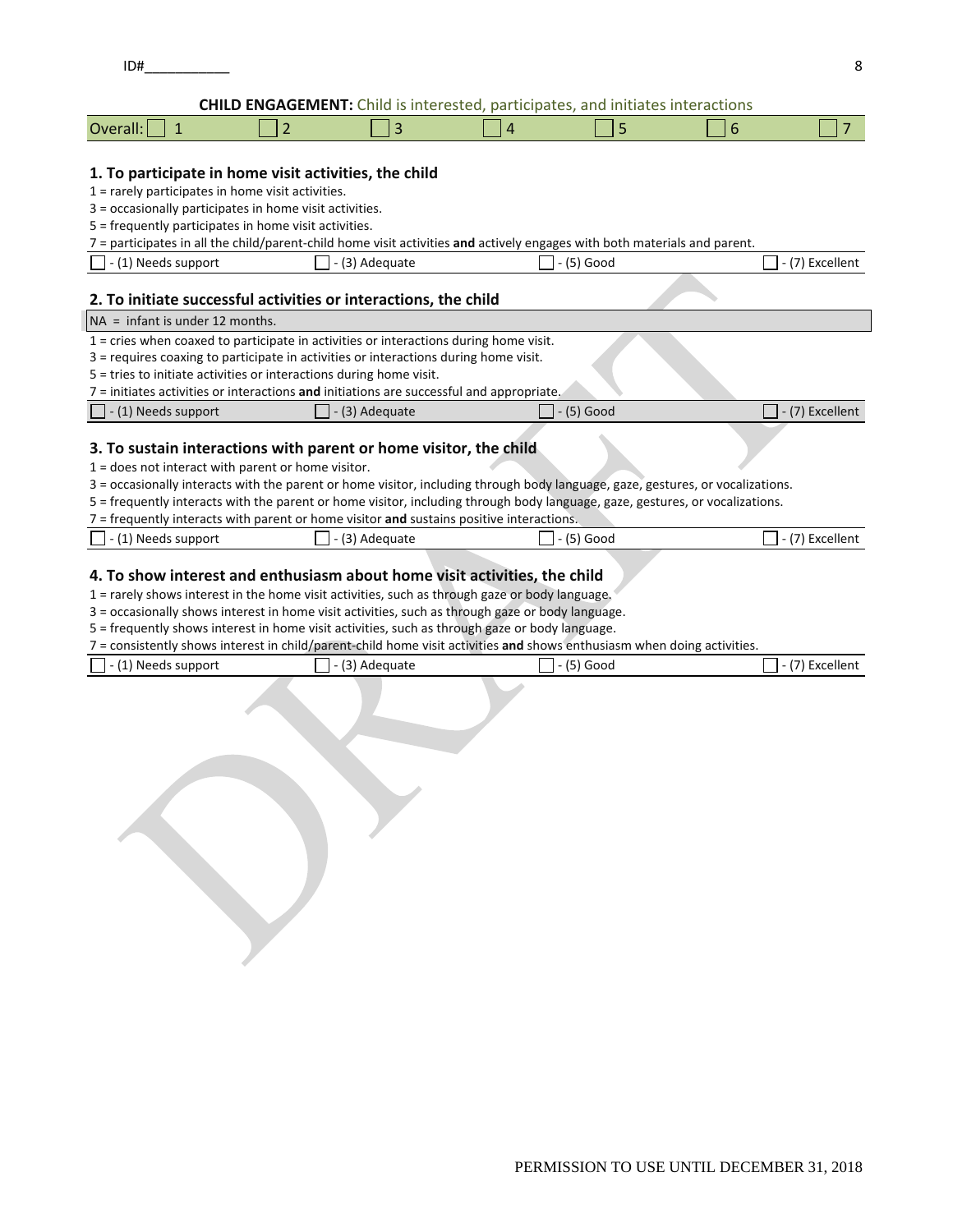**CHILD ENGAGEMENT:** Child is interested, participates, and initiates interactions

| Overa<br>$\Box$ dil $\Box$ |  |  |  |
|----------------------------|--|--|--|
|                            |  |  |  |

### **1. To participate in home visit activities, the child**

1 = rarely participates in home visit activities.

3 = occasionally participates in home visit activities.

5 = frequently participates in home visit activities.

7 = participates in all the child/parent‐child home visit activities **and** actively engages with both materials and parent.

| $\overline{11}$<br>) Needs support<br>. . | 12.<br>Adequate<br>$\overline{\phantom{a}}$ | ∽<br>` Goog<br>. | Excellent |
|-------------------------------------------|---------------------------------------------|------------------|-----------|
|                                           |                                             |                  |           |

### **2. To initiate successful activities or interactions, the child**

| 2. To initiate successful activities or interactions, the child                            |                        |                                     |                         |  |  |  |
|--------------------------------------------------------------------------------------------|------------------------|-------------------------------------|-------------------------|--|--|--|
| $NA = infant is under 12 months.$                                                          |                        |                                     |                         |  |  |  |
| $1 =$ cries when coaxed to participate in activities or interactions during home visit.    |                        |                                     |                         |  |  |  |
| 3 = requires coaxing to participate in activities or interactions during home visit.       |                        |                                     |                         |  |  |  |
| 5 = tries to initiate activities or interactions during home visit.                        |                        |                                     |                         |  |  |  |
| $7$ = initiates activities or interactions and initiations are successful and appropriate. |                        |                                     |                         |  |  |  |
| - (1) Needs support                                                                        | $\vert$ - (3) Adequate | $\overline{\phantom{a}}$ - (5) Good | $\vert$ - (7) Excellent |  |  |  |
|                                                                                            |                        |                                     |                         |  |  |  |
| 3. To sustain interactions with parent or home visitor, the child                          |                        |                                     |                         |  |  |  |
| $=$ does not interact with parent or home visitor                                          |                        |                                     |                         |  |  |  |

or nome visitor.

3 = occasionally interacts with the parent or home visitor, including through body language, gaze, gestures, or vocalizations.

5 = frequently interacts with the parent or home visitor, including through body language, gaze, gestures, or vocalizations.

7 = frequently interacts with parent or home visitor **and** sustains positive interactions.

| $\overline{14}$<br>) Needs support<br>$-1$<br>. | Adequate | Goog | Excellent |
|-------------------------------------------------|----------|------|-----------|
|                                                 |          |      |           |

## **4. To show interest and enthusiasm about home visit activities, the child**

1 = rarely shows interest in the home visit activities, such as through gaze or body language.

3 = occasionally shows interest in home visit activities, such as through gaze or body language.

5 = frequently shows interest in home visit activities, such as through gaze or body language.

7 = consistently shows interest in child/parent‐child home visit activities **and** shows enthusiasm when doing activities.

| $\Box$ - (1) Needs support | $\vert$ - (3) Adequate | $I - (5)$ Good | - (7) Excellent |
|----------------------------|------------------------|----------------|-----------------|
|                            |                        |                |                 |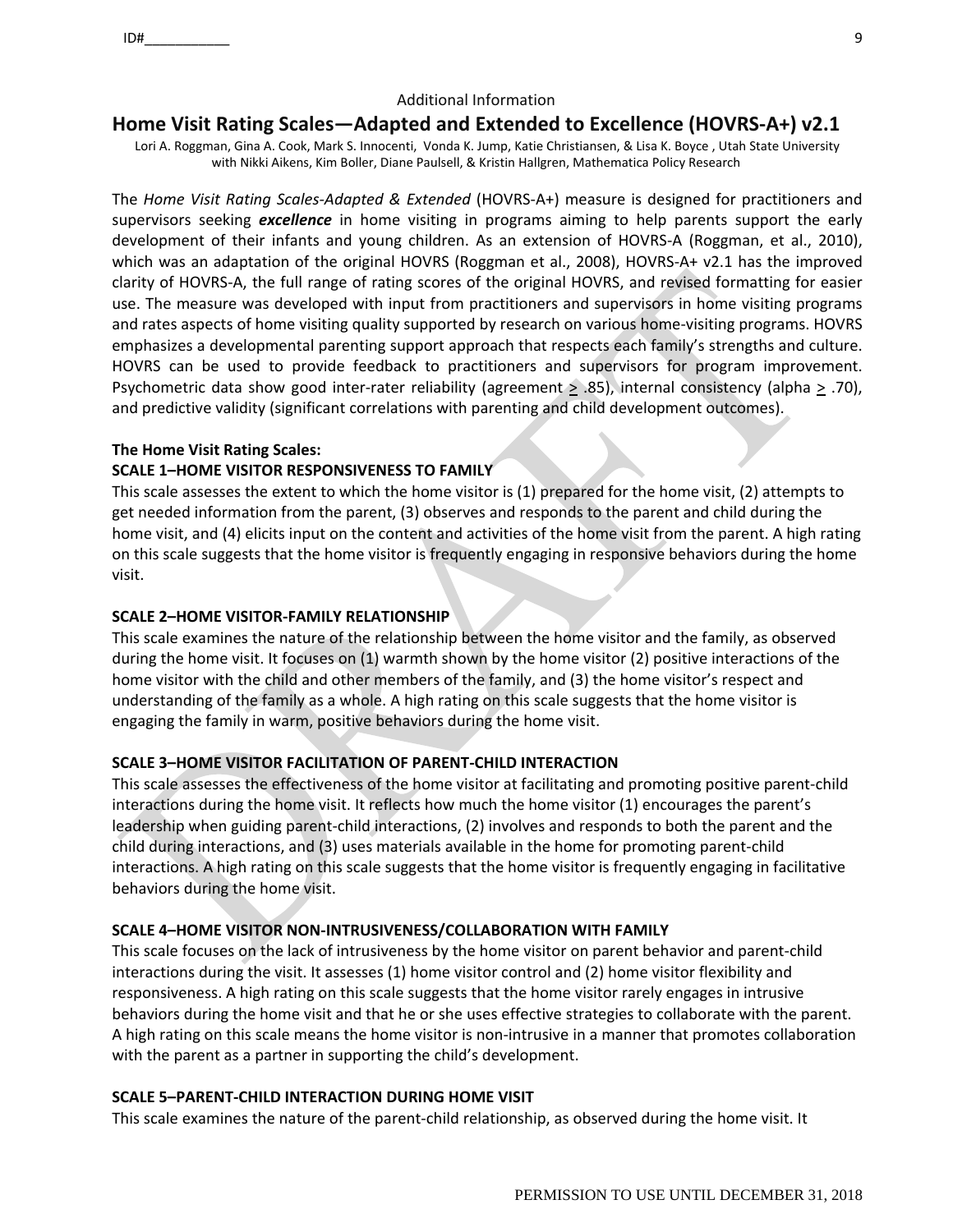### Additional Information

## **Home Visit Rating Scales—Adapted and Extended to Excellence (HOVRS‐A+) v2.1**

Lori A. Roggman, Gina A. Cook, Mark S. Innocenti, Vonda K. Jump, Katie Christiansen, & Lisa K. Boyce , Utah State University with Nikki Aikens, Kim Boller, Diane Paulsell, & Kristin Hallgren, Mathematica Policy Research

The *Home Visit Rating Scales‐Adapted & Extended* (HOVRS‐A+) measure is designed for practitioners and supervisors seeking *excellence* in home visiting in programs aiming to help parents support the early development of their infants and young children. As an extension of HOVRS‐A (Roggman, et al., 2010), which was an adaptation of the original HOVRS (Roggman et al., 2008), HOVRS-A+ v2.1 has the improved clarity of HOVRS‐A, the full range of rating scores of the original HOVRS, and revised formatting for easier use. The measure was developed with input from practitioners and supervisors in home visiting programs and rates aspects of home visiting quality supported by research on various home-visiting programs. HOVRS emphasizes a developmental parenting support approach that respects each family's strengths and culture. HOVRS can be used to provide feedback to practitioners and supervisors for program improvement. Psychometric data show good inter-rater reliability (agreement  $\geq$  .85), internal consistency (alpha  $\geq$  .70), and predictive validity (significant correlations with parenting and child development outcomes).

### **The Home Visit Rating Scales:**

## **SCALE 1–HOME VISITOR RESPONSIVENESS TO FAMILY**

This scale assesses the extent to which the home visitor is (1) prepared for the home visit, (2) attempts to get needed information from the parent, (3) observes and responds to the parent and child during the home visit, and (4) elicits input on the content and activities of the home visit from the parent. A high rating on this scale suggests that the home visitor is frequently engaging in responsive behaviors during the home visit.

### **SCALE 2–HOME VISITOR‐FAMILY RELATIONSHIP**

This scale examines the nature of the relationship between the home visitor and the family, as observed during the home visit. It focuses on (1) warmth shown by the home visitor (2) positive interactions of the home visitor with the child and other members of the family, and (3) the home visitor's respect and understanding of the family as a whole. A high rating on this scale suggests that the home visitor is engaging the family in warm, positive behaviors during the home visit.

## **SCALE 3–HOME VISITOR FACILITATION OF PARENT‐CHILD INTERACTION**

This scale assesses the effectiveness of the home visitor at facilitating and promoting positive parent‐child interactions during the home visit. It reflects how much the home visitor (1) encourages the parent's leadership when guiding parent‐child interactions, (2) involves and responds to both the parent and the child during interactions, and (3) uses materials available in the home for promoting parent‐child interactions. A high rating on this scale suggests that the home visitor is frequently engaging in facilitative behaviors during the home visit.

### **SCALE 4–HOME VISITOR NON‐INTRUSIVENESS/COLLABORATION WITH FAMILY**

This scale focuses on the lack of intrusiveness by the home visitor on parent behavior and parent‐child interactions during the visit. It assesses (1) home visitor control and (2) home visitor flexibility and responsiveness. A high rating on this scale suggests that the home visitor rarely engages in intrusive behaviors during the home visit and that he or she uses effective strategies to collaborate with the parent. A high rating on this scale means the home visitor is non‐intrusive in a manner that promotes collaboration with the parent as a partner in supporting the child's development.

## **SCALE 5–PARENT‐CHILD INTERACTION DURING HOME VISIT**

This scale examines the nature of the parent-child relationship, as observed during the home visit. It